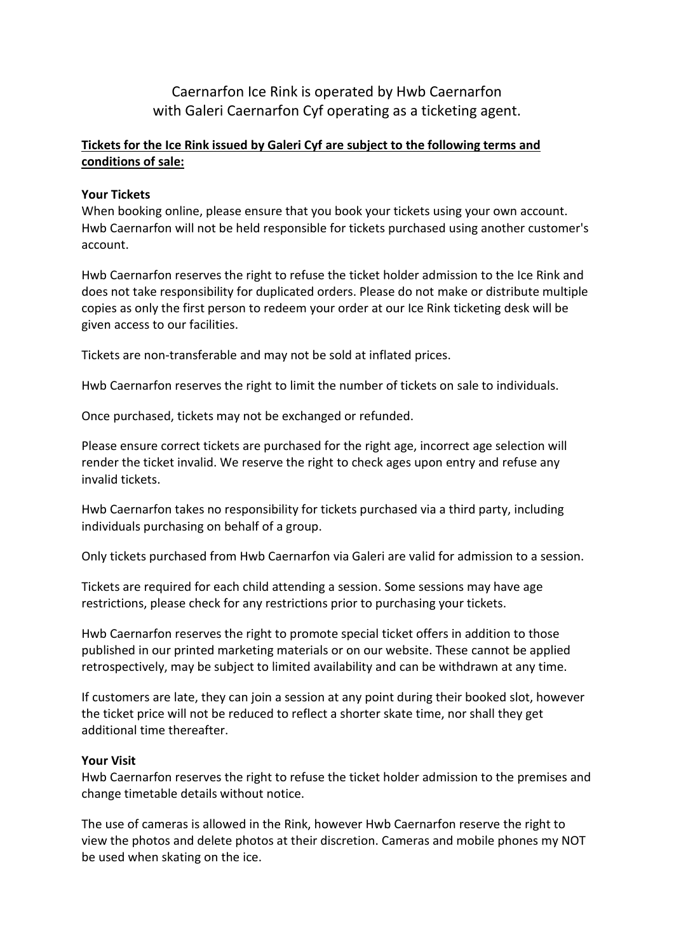Caernarfon Ice Rink is operated by Hwb Caernarfon with Galeri Caernarfon Cyf operating as a ticketing agent.

# **Tickets for the Ice Rink issued by Galeri Cyf are subject to the following terms and conditions of sale:**

## **Your Tickets**

When booking online, please ensure that you book your tickets using your own account. Hwb Caernarfon will not be held responsible for tickets purchased using another customer's account.

Hwb Caernarfon reserves the right to refuse the ticket holder admission to the Ice Rink and does not take responsibility for duplicated orders. Please do not make or distribute multiple copies as only the first person to redeem your order at our Ice Rink ticketing desk will be given access to our facilities.

Tickets are non-transferable and may not be sold at inflated prices.

Hwb Caernarfon reserves the right to limit the number of tickets on sale to individuals.

Once purchased, tickets may not be exchanged or refunded.

Please ensure correct tickets are purchased for the right age, incorrect age selection will render the ticket invalid. We reserve the right to check ages upon entry and refuse any invalid tickets.

Hwb Caernarfon takes no responsibility for tickets purchased via a third party, including individuals purchasing on behalf of a group.

Only tickets purchased from Hwb Caernarfon via Galeri are valid for admission to a session.

Tickets are required for each child attending a session. Some sessions may have age restrictions, please check for any restrictions prior to purchasing your tickets.

Hwb Caernarfon reserves the right to promote special ticket offers in addition to those published in our printed marketing materials or on our website. These cannot be applied retrospectively, may be subject to limited availability and can be withdrawn at any time.

If customers are late, they can join a session at any point during their booked slot, however the ticket price will not be reduced to reflect a shorter skate time, nor shall they get additional time thereafter.

## **Your Visit**

Hwb Caernarfon reserves the right to refuse the ticket holder admission to the premises and change timetable details without notice.

The use of cameras is allowed in the Rink, however Hwb Caernarfon reserve the right to view the photos and delete photos at their discretion. Cameras and mobile phones my NOT be used when skating on the ice.